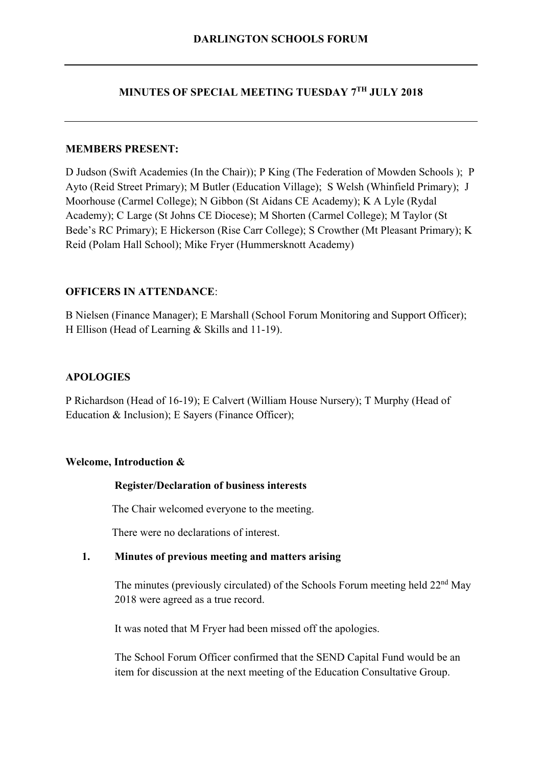# **MINUTES OF SPECIAL MEETING TUESDAY 7TH JULY 2018**

## **MEMBERS PRESENT:**

D Judson (Swift Academies (In the Chair)); P King (The Federation of Mowden Schools ); P Ayto (Reid Street Primary); M Butler (Education Village); S Welsh (Whinfield Primary); J Moorhouse (Carmel College); N Gibbon (St Aidans CE Academy); K A Lyle (Rydal Academy); C Large (St Johns CE Diocese); M Shorten (Carmel College); M Taylor (St Bede's RC Primary); E Hickerson (Rise Carr College); S Crowther (Mt Pleasant Primary); K Reid (Polam Hall School); Mike Fryer (Hummersknott Academy)

## **OFFICERS IN ATTENDANCE**:

B Nielsen (Finance Manager); E Marshall (School Forum Monitoring and Support Officer); H Ellison (Head of Learning & Skills and 11-19).

## **APOLOGIES**

P Richardson (Head of 16-19); E Calvert (William House Nursery); T Murphy (Head of Education & Inclusion); E Sayers (Finance Officer);

#### **Welcome, Introduction &**

#### **Register/Declaration of business interests**

The Chair welcomed everyone to the meeting.

There were no declarations of interest.

#### **1. Minutes of previous meeting and matters arising**

The minutes (previously circulated) of the Schools Forum meeting held 22<sup>nd</sup> May 2018 were agreed as a true record.

It was noted that M Fryer had been missed off the apologies.

The School Forum Officer confirmed that the SEND Capital Fund would be an item for discussion at the next meeting of the Education Consultative Group.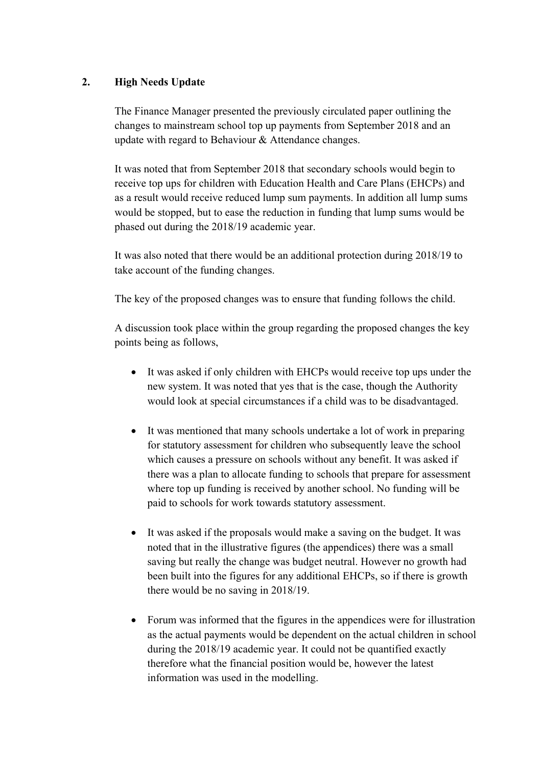## **2. High Needs Update**

The Finance Manager presented the previously circulated paper outlining the changes to mainstream school top up payments from September 2018 and an update with regard to Behaviour & Attendance changes.

It was noted that from September 2018 that secondary schools would begin to receive top ups for children with Education Health and Care Plans (EHCPs) and as a result would receive reduced lump sum payments. In addition all lump sums would be stopped, but to ease the reduction in funding that lump sums would be phased out during the 2018/19 academic year.

It was also noted that there would be an additional protection during 2018/19 to take account of the funding changes.

The key of the proposed changes was to ensure that funding follows the child.

A discussion took place within the group regarding the proposed changes the key points being as follows,

- It was asked if only children with EHCPs would receive top ups under the new system. It was noted that yes that is the case, though the Authority would look at special circumstances if a child was to be disadvantaged.
- It was mentioned that many schools undertake a lot of work in preparing for statutory assessment for children who subsequently leave the school which causes a pressure on schools without any benefit. It was asked if there was a plan to allocate funding to schools that prepare for assessment where top up funding is received by another school. No funding will be paid to schools for work towards statutory assessment.
- It was asked if the proposals would make a saving on the budget. It was noted that in the illustrative figures (the appendices) there was a small saving but really the change was budget neutral. However no growth had been built into the figures for any additional EHCPs, so if there is growth there would be no saving in 2018/19.
- Forum was informed that the figures in the appendices were for illustration as the actual payments would be dependent on the actual children in school during the 2018/19 academic year. It could not be quantified exactly therefore what the financial position would be, however the latest information was used in the modelling.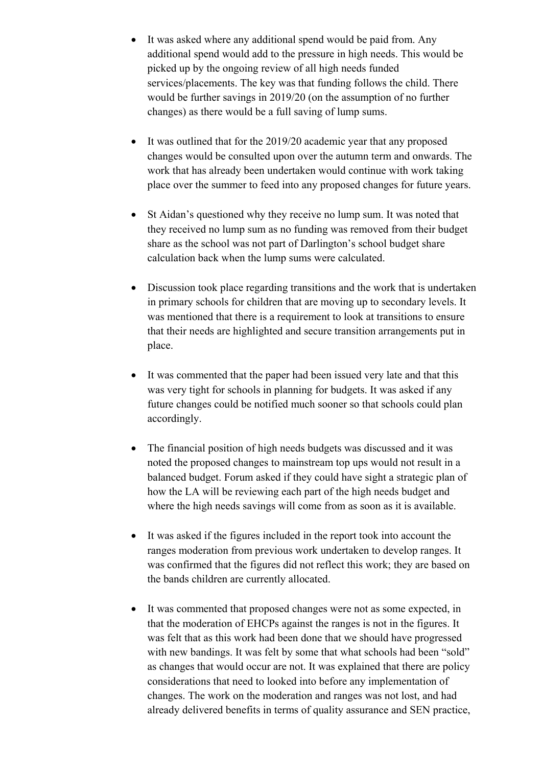- It was asked where any additional spend would be paid from. Any additional spend would add to the pressure in high needs. This would be picked up by the ongoing review of all high needs funded services/placements. The key was that funding follows the child. There would be further savings in 2019/20 (on the assumption of no further changes) as there would be a full saving of lump sums.
- It was outlined that for the 2019/20 academic year that any proposed changes would be consulted upon over the autumn term and onwards. The work that has already been undertaken would continue with work taking place over the summer to feed into any proposed changes for future years.
- St Aidan's questioned why they receive no lump sum. It was noted that they received no lump sum as no funding was removed from their budget share as the school was not part of Darlington's school budget share calculation back when the lump sums were calculated.
- Discussion took place regarding transitions and the work that is undertaken in primary schools for children that are moving up to secondary levels. It was mentioned that there is a requirement to look at transitions to ensure that their needs are highlighted and secure transition arrangements put in place.
- It was commented that the paper had been issued very late and that this was very tight for schools in planning for budgets. It was asked if any future changes could be notified much sooner so that schools could plan accordingly.
- The financial position of high needs budgets was discussed and it was noted the proposed changes to mainstream top ups would not result in a balanced budget. Forum asked if they could have sight a strategic plan of how the LA will be reviewing each part of the high needs budget and where the high needs savings will come from as soon as it is available.
- It was asked if the figures included in the report took into account the ranges moderation from previous work undertaken to develop ranges. It was confirmed that the figures did not reflect this work; they are based on the bands children are currently allocated.
- It was commented that proposed changes were not as some expected, in that the moderation of EHCPs against the ranges is not in the figures. It was felt that as this work had been done that we should have progressed with new bandings. It was felt by some that what schools had been "sold" as changes that would occur are not. It was explained that there are policy considerations that need to looked into before any implementation of changes. The work on the moderation and ranges was not lost, and had already delivered benefits in terms of quality assurance and SEN practice,